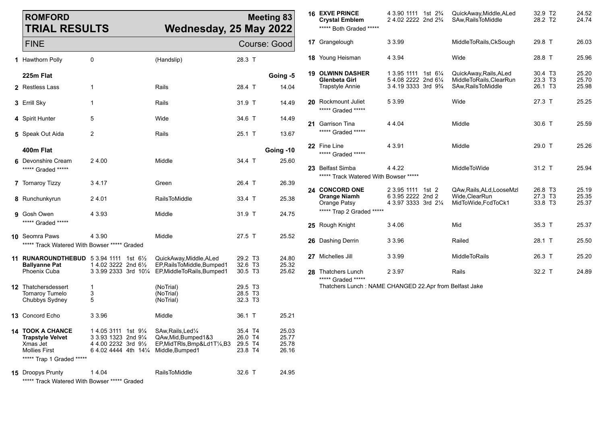| <b>ROMFORD</b><br><b>TRIAL RESULTS</b>                                                                       |                                                                                                               |                                                                                        | <b>Meeting 83</b><br>Wednesday, 25 May 2022 |                                  | <b>16 EXVE PRINCE</b><br><b>Crystal Emblem</b><br>***** Both Graded ***** | 4 3.90 1111 1st 2 <sup>3</sup> / <sub>4</sub><br>2 4.02 2222 2nd 2 <sup>3</sup> / <sub>4</sub> | QuickAway, Middle, ALed<br>SAw, Rails To Middle   | 32.9 T2<br>28.2 T2             | 24.52<br>24.74 |
|--------------------------------------------------------------------------------------------------------------|---------------------------------------------------------------------------------------------------------------|----------------------------------------------------------------------------------------|---------------------------------------------|----------------------------------|---------------------------------------------------------------------------|------------------------------------------------------------------------------------------------|---------------------------------------------------|--------------------------------|----------------|
| <b>FINE</b>                                                                                                  |                                                                                                               |                                                                                        | Course: Good                                |                                  | 17 Grangelough                                                            | 3 3.99                                                                                         | MiddleToRails, CkSough                            | 29.8 T                         | 26.03          |
| 1 Hawthorn Polly                                                                                             | 0                                                                                                             | (Handslip)                                                                             | 28.3 T                                      |                                  | <b>18</b> Young Heisman                                                   | 4 3.94                                                                                         | Wide                                              | 28.8 T                         | 25.96          |
| 225m Flat                                                                                                    |                                                                                                               |                                                                                        |                                             | Going -5                         | <b>19 OLWINN DASHER</b><br>Glenbeta Girl                                  | 1 3.95 1111 1st 61/4<br>5 4.08 2222 2nd 61/4                                                   | QuickAway, Rails, ALed<br>MiddleToRails, ClearRun | 30.4 T <sub>3</sub><br>23.3 T3 | 25.20<br>25.70 |
| 2 Restless Lass                                                                                              | $\mathbf{1}$                                                                                                  | Rails                                                                                  | 28.4 T                                      | 14.04                            | <b>Trapstyle Annie</b>                                                    | 3 4.19 3333 3rd 93/4                                                                           | SAw, Rails To Middle                              | 26.1 T3                        | 25.98          |
| 3 Errill Sky                                                                                                 | $\mathbf{1}$                                                                                                  | Rails                                                                                  | 31.9 T                                      | 14.49                            | 20 Rockmount Juliet<br>***** Graded *****                                 | 5 3.99                                                                                         | Wide                                              | 27.3 T                         | 25.25          |
| 4 Spirit Hunter                                                                                              | 5                                                                                                             | Wide                                                                                   | 34.6 T                                      | 14.49                            | 21 Garrison Tina                                                          | 4 4.04                                                                                         | Middle                                            | 30.6 T                         | 25.59          |
| 5 Speak Out Aida                                                                                             | $\overline{2}$                                                                                                | Rails                                                                                  | 25.1 T                                      | 13.67                            | ***** Graded *****                                                        |                                                                                                |                                                   |                                |                |
| 400m Flat                                                                                                    |                                                                                                               |                                                                                        |                                             | Going -10                        | 22 Fine Line<br>***** Graded *****                                        | 4 3.91                                                                                         | Middle                                            | 29.0 T                         | 25.26          |
| 6 Devonshire Cream<br>***** Graded *****                                                                     | 24.00                                                                                                         | Middle                                                                                 | 34.4 T                                      | 25.60                            | <b>23</b> Belfast Simba<br>***** Track Watered With Bowser *****          | 4 4 2 2                                                                                        | MiddleToWide                                      | 31.2 T                         | 25.94          |
| <b>7</b> Tornaroy Tizzy                                                                                      | 34.17                                                                                                         | Green                                                                                  | 26.4 T                                      | 26.39                            | 24 CONCORD ONE                                                            | 2 3.95 1111 1st 2                                                                              | QAw, Rails, ALd, LooseMzl                         | 26.8 T3                        | 25.19          |
| 8 Runchunkyrun                                                                                               | 24.01                                                                                                         | RailsToMiddle                                                                          | 33.4 T                                      | 25.38                            | <b>Orange Niamh</b><br>Orange Patsy                                       | 6 3.95 2222 2nd 2<br>4 3.97 3333 3rd 21/4                                                      | Wide, Clear Run<br>MidToWide, FcdToCk1            | 27.3 T3<br>33.8 T3             | 25.35<br>25.37 |
| 9 Gosh Owen<br>***** Graded *****                                                                            | 4 3.93                                                                                                        | Middle                                                                                 | 31.9 T                                      | 24.75                            | ***** Trap 2 Graded *****                                                 |                                                                                                |                                                   |                                |                |
|                                                                                                              | 4 3.90                                                                                                        | Middle                                                                                 | 27.5 T                                      |                                  | 25 Rough Knight                                                           | 34.06                                                                                          | Mid                                               | 35.3 T                         | 25.37          |
| 10 Seomra Paws<br>***** Track Watered With Bowser ***** Graded                                               |                                                                                                               |                                                                                        |                                             | 25.52                            | 26 Dashing Derrin                                                         | 3 3.96                                                                                         | Railed                                            | 28.1 T                         | 25.50          |
| 11 RUNAROUNDTHEBUD $53.94$ 1111 1st $6\frac{1}{2}$<br><b>Ballyanne Pat</b>                                   | 1 4.02 3222 2nd 61/2                                                                                          | QuickAway, Middle, ALed<br>EP, Rails To Middle, Bumped 1                               | 29.2 T3<br>32.6 T3                          | 24.80<br>25.32                   | 27 Michelles Jill                                                         | 3 3.99                                                                                         | <b>MiddleToRails</b>                              | 26.3 T                         | 25.20          |
| Phoenix Cuba                                                                                                 |                                                                                                               | 3 3.99 2333 3rd 101/4 EP, Middle To Rails, Bumped 1                                    | 30.5 T <sub>3</sub>                         | 25.62                            | 28 Thatchers Lunch<br>***** Graded *****                                  | 2 3.97                                                                                         | Rails                                             | 32.2 T                         | 24.89          |
| <b>12</b> Thatchersdessert<br><b>Tornaroy Tumelo</b><br>Chubbys Sydney                                       | $\mathbf{1}$<br>3<br>5                                                                                        | (NoTrial)<br>(NoTrial)<br>(NoTrial)                                                    | 29.5 T3<br>28.5 T3<br>32.3 T3               |                                  | Thatchers Lunch: NAME CHANGED 22.Apr from Belfast Jake                    |                                                                                                |                                                   |                                |                |
| 13 Concord Echo                                                                                              | 3 3.96                                                                                                        | Middle                                                                                 | 36.1 T                                      | 25.21                            |                                                                           |                                                                                                |                                                   |                                |                |
| 14 TOOK A CHANCE<br><b>Trapstyle Velvet</b><br>Xmas Jet<br><b>Mollies First</b><br>***** Trap 1 Graded ***** | 14.05 3111 1st 91/4<br>3 3.93 1323 2nd 91/4<br>4 4.00 2232 3rd 91/2<br>6 4.02 4444 4th 141/4 Middle, Bumped 1 | SAw, Rails, Led <sup>1/4</sup><br>QAw, Mid, Bumped 1&3<br>EP, MidTRIs, Bmp&Ld1T1/4, B3 | 35.4 T4<br>26.0 T4<br>29.5 T4<br>23.8 T4    | 25.03<br>25.77<br>25.78<br>26.16 |                                                                           |                                                                                                |                                                   |                                |                |
| <b>15</b> Droopys Prunty<br>***** Track Watered With Bowser ***** Graded                                     | 14.04                                                                                                         | <b>RailsToMiddle</b>                                                                   | 32.6 T                                      | 24.95                            |                                                                           |                                                                                                |                                                   |                                |                |